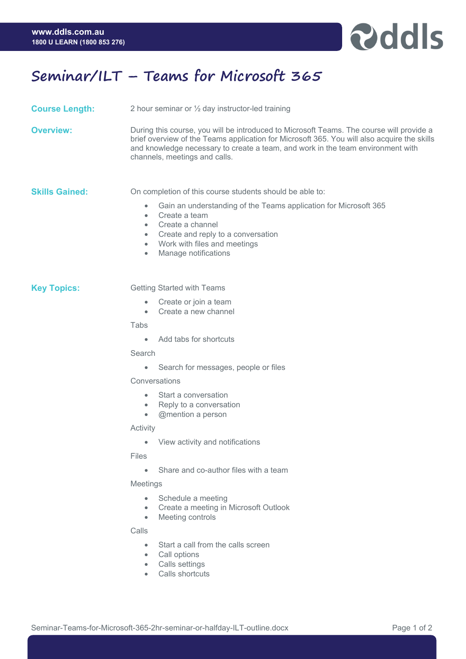

# **Seminar/ILT – Teams for Microsoft 365**

- **Course Length:** 2 hour seminar or ½ day instructor-led training
- **Overview:** During this course, you will be introduced to Microsoft Teams. The course will provide a brief overview of the Teams application for Microsoft 365. You will also acquire the skills and knowledge necessary to create a team, and work in the team environment with channels, meetings and calls.

**Skills Gained:** On completion of this course students should be able to:

- Gain an understanding of the Teams application for Microsoft 365
- Create a team
- Create a channel
- Create and reply to a conversation
- Work with files and meetings
- Manage notifications

**Key Topics: Getting Started with Teams** 

- Create or join a team
- Create a new channel

**Tabs** 

• Add tabs for shortcuts

Search

• Search for messages, people or files

#### **Conversations**

- Start a conversation
- Reply to a conversation
- @mention a person

#### **Activity**

• View activity and notifications

Files

• Share and co-author files with a team

## Meetings

- Schedule a meeting
- Create a meeting in Microsoft Outlook
- Meeting controls

## Calls

- Start a call from the calls screen
- Call options
- Calls settings
- Calls shortcuts